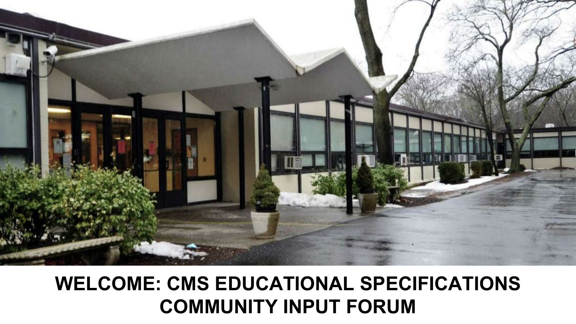

### **WELCOME: CMS EDUCATIONAL SPECIFICATIONS COMMUNITY INPUT FORUM**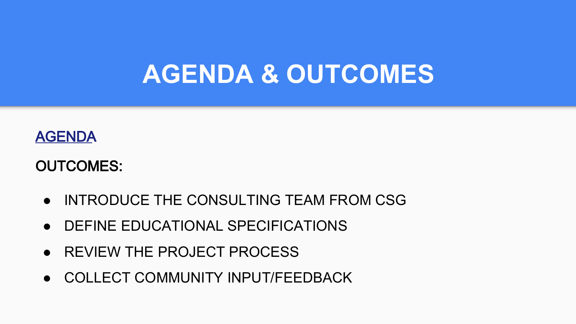## **AGENDA & OUTCOMES**

### [AGENDA](https://docs.google.com/document/d/1wrU1Tv98G1DLSkhjD_gpeMPdjTLfXKzYxCSTzNbg7nw/edit)

### OUTCOMES:

- INTRODUCE THE CONSULTING TEAM FROM CSG
- DEFINE EDUCATIONAL SPECIFICATIONS
- REVIEW THE PROJECT PROCESS
- COLLECT COMMUNITY INPUT/FEEDBACK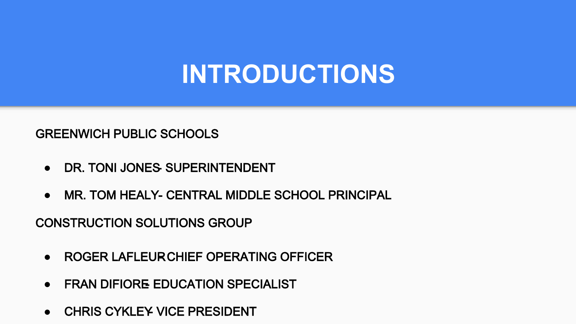# **INTRODUCTIONS**

#### GREENWICH PUBLIC SCHOOLS

- **DR. TONI JONES SUPERINTENDENT**
- **MR. TOM HEALY- CENTRAL MIDDLE SCHOOL PRINCIPAL**

CONSTRUCTION SOLUTIONS GROUP

- ROGER LAFLEUR CHIEF OPERATING OFFICER
- **FRAN DIFIORE EDUCATION SPECIALIST**
- CHRIS CYKLEY VICE PRESIDENT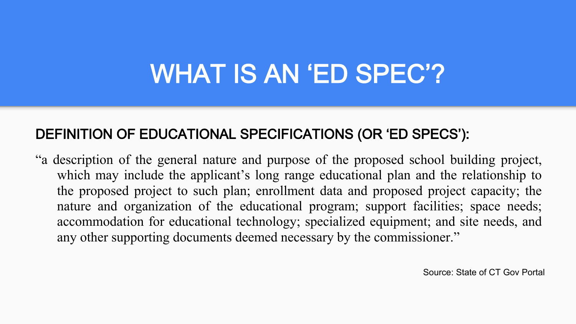# WHAT IS AN 'ED SPEC'?

### DEFINITION OF EDUCATIONAL SPECIFICATIONS (OR 'ED SPECS'):

"a description of the general nature and purpose of the proposed school building project, which may include the applicant's long range educational plan and the relationship to the proposed project to such plan; enrollment data and proposed project capacity; the nature and organization of the educational program; support facilities; space needs; accommodation for educational technology; specialized equipment; and site needs, and any other supporting documents deemed necessary by the commissioner."

Source: State of CT Gov Portal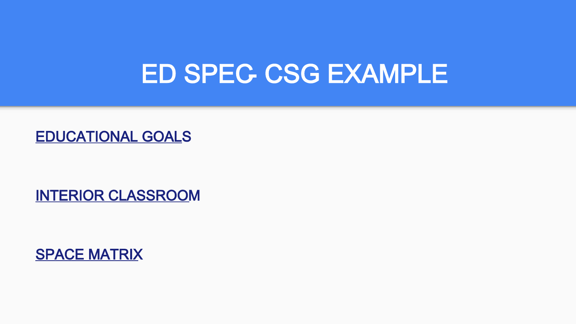### **ED SPEC CSG EXAMPLE**

[EDUCATIONAL GOALS](https://docs.google.com/document/d/1Yq9ZTyRF6GeE1q6MQwbY1jzjzw8i7hmF/edit)

[INTERIOR CLASSROOM](https://docs.google.com/document/d/1091sYzeIB_IDLe7RKxpv10P4SSAVPpi9/edit)

[SPACE MATRIX](https://docs.google.com/document/d/1tPCbZ-4DkY2p4pCAZyRDCGldjNEb8rJN/edit?usp=sharing&ouid=104214304030230148723&rtpof=true&sd=true)